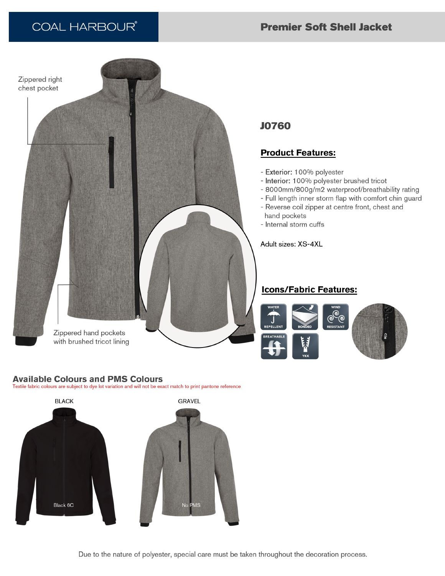# **COAL HARBOUR®**

## **Premier Soft Shell Jacket**



### **Available Colours and PMS Colours**

Textile fabric colours are subject to dye lot variation and will not be exact match to print pantone reference



Due to the nature of polyester, special care must be taken throughout the decoration process.